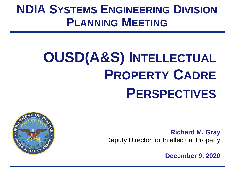# **NDIA SYSTEMS ENGINEERING DIVISION PLANNING MEETING**

# **OUSD(A&S) INTELLECTUAL PROPERTY CADRE PERSPECTIVES**



**Richard M. Gray** Deputy Director for Intellectual Property

**December 9, 2020**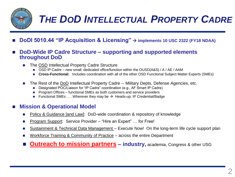

- ◼ **DoDI 5010.44 "IP Acquisition & Licensing"** → **implements 10 USC 2322 (FY18 NDAA)**
- ◼ **DoD-Wide IP Cadre Structure – supporting and supported elements throughout DoD** 
	- The OSD Intellectual Property Cadre Structure
		- OSD IP Cadre new small, dedicated office/function within the OUSD(A&S) / A / AE / AAM
		- Cross-Functional: Includes coordination with all of the other OSD Functional Subject Matter Experts (SMEs)
	- The Rest of the DoD Intellectual Property Cadre -- Military Depts, Defense Agencies, etc.
		- Designated POC/Liaison for "IP Cadre" coordination (e.g., AF Smart IP Cadre)
		- Program Offices functional SMEs as both customers and service providers
		- Functional SMEs  $\dots$  Wherever they may be  $\rightarrow$  Heads-up: IP Credential/Badge

#### **Mission & Operational Model**

- Policy & Guidance [and Law]: DoD-wide coordination & repository of knowledge
- ◼ Program Support: Service Provider "Hire an Expert" … for Free!
- Sustainment & Technical Data Management Execute Now! On the long-term life cycle support plan
- Workforce Training & Community of Practice across the entire Department
- **Outreach to mission partners industry, academia, Congress & other USG**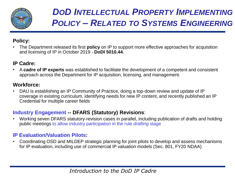

# *DOD INTELLECTUAL PROPERTY IMPLEMENTING POLICY – RELATED TO SYSTEMS ENGINEERING*

#### **Policy:**

• The Department released its first **policy** on IP to support more effective approaches for acquisition and licensing of IP in October 2019 - **DoDI 5010.44**.

### **IP Cadre:**

• A **cadre of IP experts** was established to facilitate the development of a competent and consistent approach across the Department for IP acquisition, licensing, and management.

### **Workforce:**

• DAU is establishing an IP Community of Practice, doing a top-down review and update of IP coverage in existing curriculum, identifying needs for new IP content, and recently published an IP Credential for multiple career fields

#### **Industry Engagement -- DFARS (Statutory) Revisions**:

• Working seven DFARS statutory-revision cases in parallel, including publication of drafts and holding public meetings to allow industry participation in the rule *drafting* stage

#### **IP Evaluation/Valuation Pilots:**

• Coordinating OSD and MILDEP strategic planning for joint pilots to develop and assess mechanisms for IP evaluation, including use of commercial IP valuation models (Sec. 801, FY20 NDAA)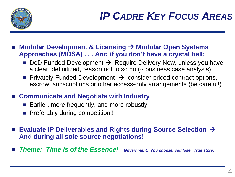

- ◼ **Modular Development & Licensing** → **Modular Open Systems Approaches (MOSA) . . . And if you don't have a crystal ball:** 
	- DoD-Funded Development  $\rightarrow$  Require Delivery Now, unless you have a clear, definitized, reason not to so do (~ business case analysis)
	- Privately-Funded Development  $\rightarrow$  consider priced contract options, escrow, subscriptions or other access-only arrangements (be careful!)
- Communicate and Negotiate with Industry
	- Earlier, more frequently, and more robustly
	- Preferably during competition!!
- Evaluate IP Deliverables and Rights during Source Selection  $\rightarrow$ **And during all sole source negotiations!**
- **Theme: Time is of the Essence!** Government: You snooze, you lose. True story.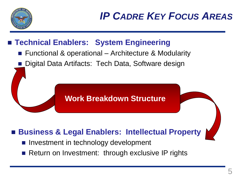

# ■ Technical Enablers: System Engineering

- Functional & operational Architecture & Modularity
- Digital Data Artifacts: Tech Data, Software design

## **Work Breakdown Structure**

# **Business & Legal Enablers: Intellectual Property**

- Investment in technology development
- Return on Investment: through exclusive IP rights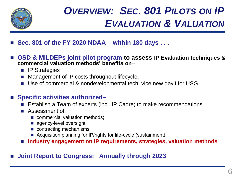

# *OVERVIEW: SEC. 801 PILOTS ON IP EVALUATION & VALUATION*

- ◼ **Sec. 801 of the FY 2020 NDAA – within 180 days . . .**
- OSD & MILDEPs joint pilot program to assess IP Evaluation techniques & **commercial valuation methods' benefits on**‐‐
	- IP Strategies
	- Management of IP costs throughout lifecycle,
	- Use of commercial & nondevelopmental tech, vice new dev't for USG.

### ■ Specific activities authorized–

- Establish a Team of experts (incl. IP Cadre) to make recommendations
- Assessment of:
	- commercial valuation methods;
	- agency-level oversight;
	- contracting mechanisms;
	- Acquisition planning for IP/rights for life-cycle (sustainment)
- ◼ **Industry engagement on IP requirements, strategies, valuation methods**

### ◼ **Joint Report to Congress: Annually through 2023**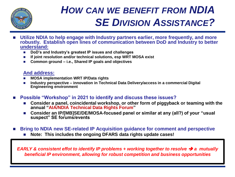

# *HOW CAN WE BENEFIT FROM NDIA SE DIVISION ASSISTANCE?*

- Utilize NDIA to help engage with Industry partners earlier, more frequently, and more **robustly. Establish open lines of communication between DoD and Industry to better understand:**
	- ◼ **DoD's and Industry's greatest IP issues and challenges**
	- If joint resolution and/or technical solutions, esp WRT MOSA exist
	- Common ground **i.e., Shared IP goals and objectives**

#### **And address:**

- ◼ **MOSA implementation WRT IP/Data rights**
- ◼ **Industry perspective – innovation in Technical Data Delivery/access in a commercial Digital Engineering environment**
- ◼ **Possible "Workshop" in 2021 to identify and discuss these issues?**
	- Consider a panel, coincidental workshop, or other form of piggyback or teaming with the **annual "AIA/NDIA Technical Data Rights Forum"**
	- Consider an IP/[MB]SE/DE/MOSA-focused panel or similar at any (all?) of your "usual **suspect" SE forums/events**
- **Bring to NDIA new SE-related IP Acquisition guidance for comment and perspective** 
	- Note: This includes the ongoing DFARS data rights update cases!

*EARLY & consistent effot to identify IP problems + working together to resolve → a mutually beneficial IP environment, allowing for robust competition and business opportunities*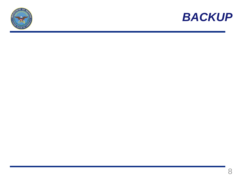

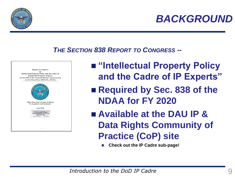

### *THE SECTION 838 REPORT TO CONGRESS --*



- "Intellectual Property Policy **and the Cadre of IP Experts"**
	- Required by Sec. 838 of the **NDAA for FY 2020**
	- Available at the DAU IP & **Data Rights Community of Practice (CoP) site**
		- ◼ **Check out the IP Cadre sub-page!**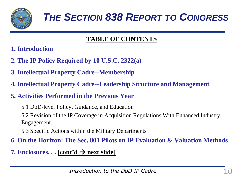

### **TABLE OF CONTENTS**

- **1. Introduction**
- **2. The IP Policy Required by 10 U.S.C. 2322(a)**
- **3. Intellectual Property Cadre--Membership**
- **4. Intellectual Property Cadre--Leadership Structure and Management**
- **5. Activities Performed in the Previous Year**
	- 5.1 DoD-level Policy, Guidance, and Education

5.2 Revision of the IP Coverage in Acquisition Regulations With Enhanced Industry Engagement.

5.3 Specific Actions within the Military Departments

### **6. On the Horizon: The Sec. 801 Pilots on IP Evaluation & Valuation Methods**

**7. Enclosures. . . [cont'd** → **next slide]**